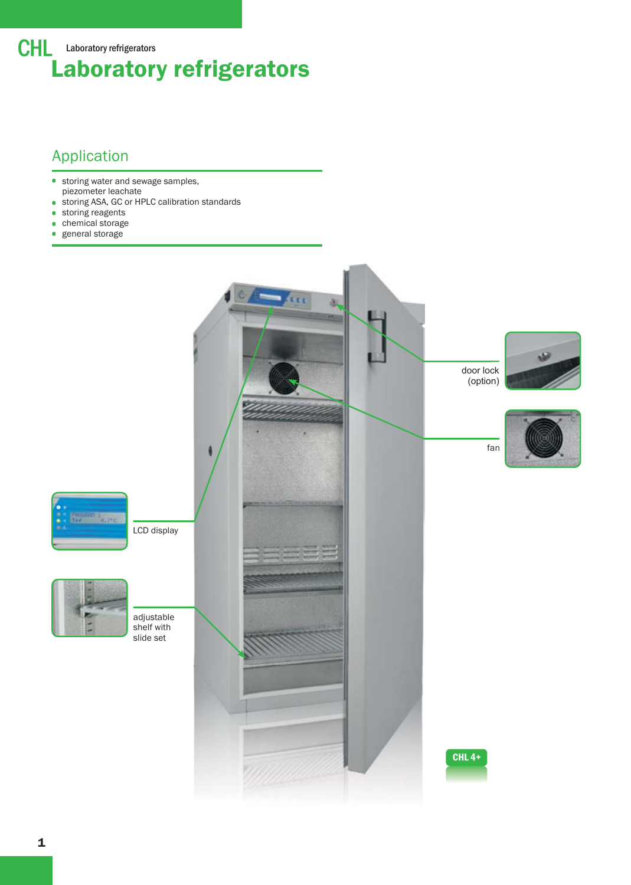

# Application

- **storing water and sewage samples,** piezometer leachate
- storing ASA, GC or HPLC calibration standards  $\bullet$
- **storing reagents**
- chemical storage  $\bullet$
- $\bullet$ general storage

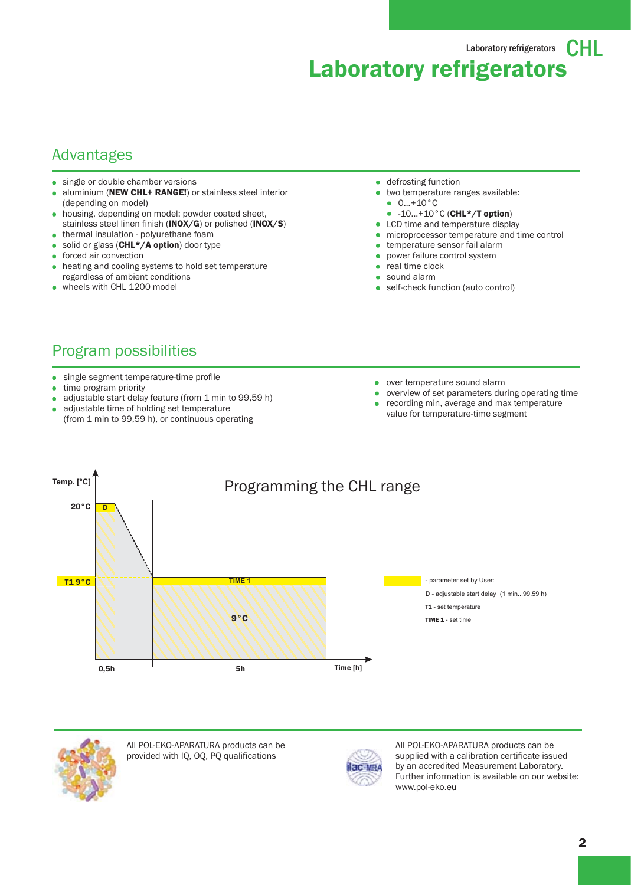Laboratory refrigerators  $\mathbf{C}$   $\vdash$ Laboratory refrigerators

#### Advantages

- single or double chamber versions
- aluminium (NEW CHL+ RANGE!) or stainless steel interior (depending on model)
- housing, depending on model: powder coated sheet,  $\blacksquare$ stainless steel linen finish (INOX/G) or polished (INOX/S)
- thermal insulation polyurethane foam
- **solid or glass (CHL\*/A option) door type**
- forced air convection
- heating and cooling systems to hold set temperature regardless of ambient conditions
- wheels with CHL 1200 model
- **defrosting function**
- two temperature ranges available: 0…+10°C
	- $-10...+10°C$  (CHL\*/T option)
- LCD time and temperature display
- **·** microprocessor temperature and time control
- temperature sensor fail alarm
- power failure control system
- real time clock
- sound alarm
- self-check function (auto control)

# Program possibilities

- single segment temperature-time profile
- **time program priority**
- adjustable start delay feature (from 1 min to 99,59 h)
- adjustable time of holding set temperature (from 1 min to 99,59 h), or continuous operating
- over temperature sound alarm
- overview of set parameters during operating time
- recording min, average and max temperature value for temperature-time segment





All POL-EKO-APARATURA products can be provided with IQ, OQ, PQ qualifications



All POL-EKO-APARATURA products can be supplied with a calibration certificate issued by an accredited Measurement Laboratory. Further information is available on our website: www.pol-eko.eu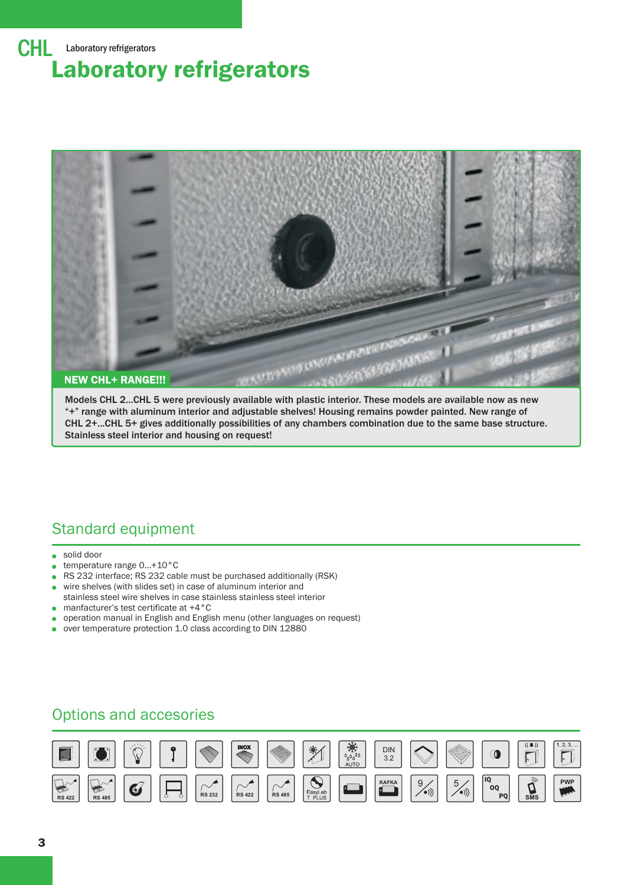

Models CHL 2...CHL 5 were previously available with plastic interior. These models are available now as new "+" range with aluminum interior and adjustable shelves! Housing remains powder painted. New range of CHL 2+...CHL 5+ gives additionally possibilities of any chambers combination due to the same base structure. Stainless steel interior and housing on request!

## Standard equipment

- solid door ä.
- temperature range 0…+10°C
- RS 232 interface; RS 232 cable must be purchased additionally (RSK)
- wire shelves (with slides set) in case of aluminum interior and stainless steel wire shelves in case stainless stainless steel interior
- manfacturer's test certificate at +4°C  $\bullet$
- operation manual in English and English menu (other languages on request)
- over temperature protection 1.0 class according to DIN 12880

## Options and accesories

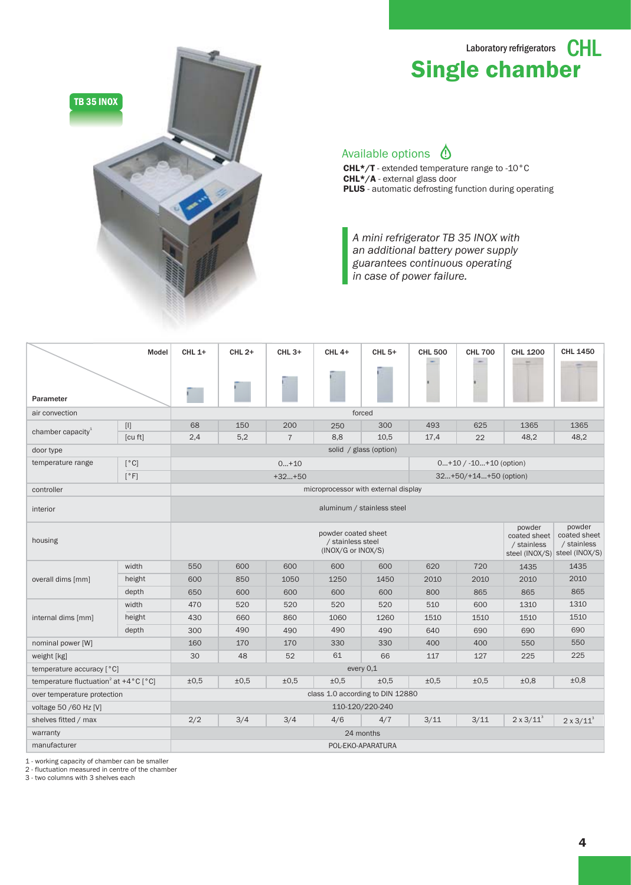# Laboratory refrigerators **CHL** Single chamber



#### Available options  $\bigcirc$

CHL\*/T - extended temperature range to -10°C CHL\*/A - external glass door PLUS - automatic defrosting function during operating

*A mini refrigerator TB 35 INOX with an additional battery power supply guarantees continuous operating in case of power failure.* 

|                                                                        | Model                            | <b>CHL 1+</b>                                                                                                                                                                     | CHL 2+ | <b>CHL 3+</b>  | <b>CHL 4+</b>                        | <b>CHL 5+</b> | <b>CHL 500</b> | <b>CHL 700</b>             | <b>CHL 1200</b>       | <b>CHL 1450</b>   |  |  |  |  |  |
|------------------------------------------------------------------------|----------------------------------|-----------------------------------------------------------------------------------------------------------------------------------------------------------------------------------|--------|----------------|--------------------------------------|---------------|----------------|----------------------------|-----------------------|-------------------|--|--|--|--|--|
| Parameter                                                              |                                  |                                                                                                                                                                                   |        |                |                                      |               |                |                            |                       |                   |  |  |  |  |  |
| air convection                                                         |                                  |                                                                                                                                                                                   |        |                |                                      | forced        |                |                            |                       |                   |  |  |  |  |  |
| chamber capacity $1$                                                   | $[1]$                            | 68                                                                                                                                                                                | 150    | 200            | 250                                  | 300           | 493            | 625                        | 1365                  | 1365              |  |  |  |  |  |
|                                                                        | [cu ft]                          | 2,4                                                                                                                                                                               | 5,2    | $\overline{7}$ | 8,8                                  | 10,5          | 17,4           | 22                         | 48,2                  | 48,2              |  |  |  |  |  |
| door type                                                              |                                  | solid / glass (option)                                                                                                                                                            |        |                |                                      |               |                |                            |                       |                   |  |  |  |  |  |
| temperature range                                                      | [°C]                             |                                                                                                                                                                                   |        | $0+10$         |                                      |               |                | $0+10$ / $-10+10$ (option) |                       |                   |  |  |  |  |  |
|                                                                        | $\lceil$ $\circ$ F]              |                                                                                                                                                                                   |        | $+32+50$       |                                      |               |                | 32+50/+14+50 (option)      |                       |                   |  |  |  |  |  |
| controller                                                             |                                  |                                                                                                                                                                                   |        |                | microprocessor with external display |               |                |                            |                       |                   |  |  |  |  |  |
| interior                                                               |                                  | aluminum / stainless steel                                                                                                                                                        |        |                |                                      |               |                |                            |                       |                   |  |  |  |  |  |
| housing                                                                |                                  | powder<br>powder<br>powder coated sheet<br>coated sheet<br>coated sheet<br>/ stainless steel<br>/ stainless<br>/ stainless<br>(INOX/G or INOX/S)<br>steel (INOX/S) steel (INOX/S) |        |                |                                      |               |                |                            |                       |                   |  |  |  |  |  |
|                                                                        | width                            | 550                                                                                                                                                                               | 600    | 600            | 600                                  | 600           | 620            | 720                        | 1435                  | 1435              |  |  |  |  |  |
| overall dims [mm]                                                      | height                           | 600                                                                                                                                                                               | 850    | 1050           | 1250                                 | 1450          | 2010           | 2010                       | 2010                  | 2010              |  |  |  |  |  |
|                                                                        | depth                            | 650                                                                                                                                                                               | 600    | 600            | 600                                  | 600           | 800            | 865                        | 865                   | 865               |  |  |  |  |  |
|                                                                        | width                            | 470                                                                                                                                                                               | 520    | 520            | 520                                  | 520           | 510            | 600                        | 1310                  | 1310              |  |  |  |  |  |
| internal dims [mm]                                                     | height                           | 430                                                                                                                                                                               | 660    | 860            | 1060                                 | 1260          | 1510           | 1510                       | 1510                  | 1510              |  |  |  |  |  |
|                                                                        | depth                            | 300                                                                                                                                                                               | 490    | 490            | 490                                  | 490           | 640            | 690                        | 690                   | 690               |  |  |  |  |  |
| nominal power [W]                                                      |                                  | 160                                                                                                                                                                               | 170    | 170            | 330                                  | 330           | 400            | 400                        | 550                   | 550               |  |  |  |  |  |
| weight [kg]                                                            |                                  | 30                                                                                                                                                                                | 48     | 52             | 61                                   | 66            | 117            | 127                        | 225                   | 225               |  |  |  |  |  |
| temperature accuracy [°C]                                              |                                  | every 0,1                                                                                                                                                                         |        |                |                                      |               |                |                            |                       |                   |  |  |  |  |  |
| temperature fluctuation <sup>2</sup> at $+4^{\circ}$ C [ $^{\circ}$ C] |                                  | ±0.5                                                                                                                                                                              | ±0,5   | ±0,5           | ±0.5                                 | ±0.5          | ±0.5           | ±0,5                       | ±0,8                  | ±0,8              |  |  |  |  |  |
| over temperature protection                                            | class 1.0 according to DIN 12880 |                                                                                                                                                                                   |        |                |                                      |               |                |                            |                       |                   |  |  |  |  |  |
| voltage 50 /60 Hz [V]                                                  | 110-120/220-240                  |                                                                                                                                                                                   |        |                |                                      |               |                |                            |                       |                   |  |  |  |  |  |
| shelves fitted / max                                                   |                                  | 2/2                                                                                                                                                                               | 3/4    | 3/4            | 4/6                                  | 4/7           | 3/11           | 3/11                       | $2 \times 3 / 11^{3}$ | $2 \times 3/11^3$ |  |  |  |  |  |
| warranty                                                               |                                  |                                                                                                                                                                                   |        |                |                                      | 24 months     |                |                            |                       |                   |  |  |  |  |  |
| manufacturer                                                           |                                  | POL-EKO-APARATURA                                                                                                                                                                 |        |                |                                      |               |                |                            |                       |                   |  |  |  |  |  |

1 - working capacity of chamber can be smaller

2 - fluctuation measured in centre of the chamber 3 - two columns with 3 shelves each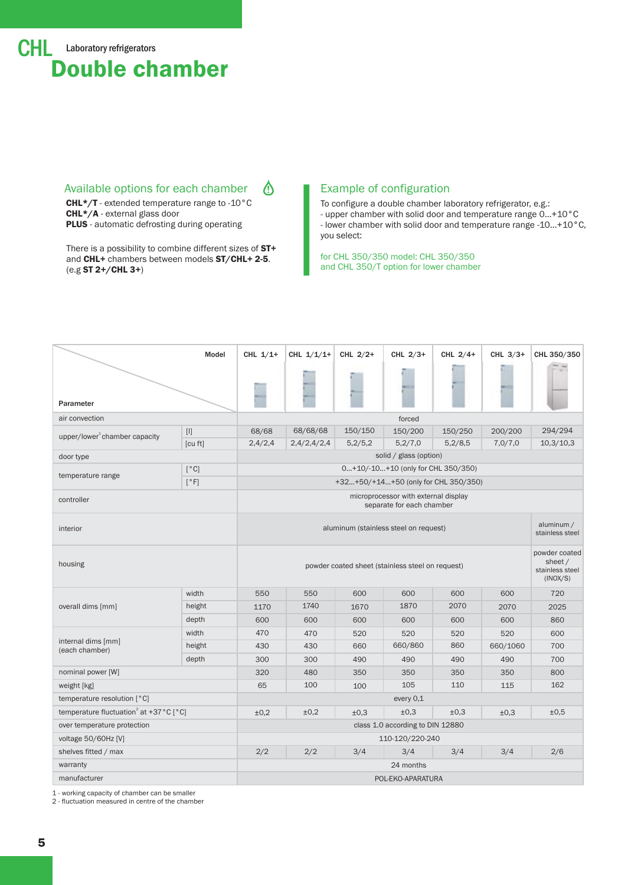#### Available options for each chamber

 ∆

CHL\*/T - extended temperature range to -10°C CHL\*/A - external glass door **PLUS** - automatic defrosting during operating

There is a possibility to combine different sizes of ST+ and CHL+ chambers between models ST/CHL+ 2-5. (e.g ST 2+/CHL 3+)

#### Example of configuration

To configure a double chamber laboratory refrigerator, e.g.: - upper chamber with solid door and temperature range 0…+10°C - lower chamber with solid door and temperature range -10…+10°C, you select:

for CHL 350/350 model: CHL 350/350 and CHL 350/T option for lower chamber

|                                                              | Model                                                                                                                                                                                                                                                                                                                                                                              | CHL $1/1+$                                                                                                  | CHL $1/1/1+$        | CHL $2/2+$ | CHL $2/3+$                           | CHL $2/4+$ | CHL $3/3+$ | CHL 350/350 |  |  |  |  |  |
|--------------------------------------------------------------|------------------------------------------------------------------------------------------------------------------------------------------------------------------------------------------------------------------------------------------------------------------------------------------------------------------------------------------------------------------------------------|-------------------------------------------------------------------------------------------------------------|---------------------|------------|--------------------------------------|------------|------------|-------------|--|--|--|--|--|
| Parameter                                                    |                                                                                                                                                                                                                                                                                                                                                                                    |                                                                                                             |                     |            |                                      |            |            |             |  |  |  |  |  |
| air convection                                               |                                                                                                                                                                                                                                                                                                                                                                                    | forced                                                                                                      |                     |            |                                      |            |            |             |  |  |  |  |  |
| upper/lower $^1$ chamber capacity                            | $[1] % \centering \includegraphics[width=0.9\textwidth]{images/TrDiM-Architecture.png} % \caption{The first two different values of $S$ and $S$ is the same as in Figure \ref{fig:10}. The first two different values of $S$ is the same as in Figure \ref{fig:10}. The second two different values of $S$ is the same as in Figure \ref{fig:10}.} \label{fig:TrDiM-Architecture}$ | 68/68                                                                                                       | 68/68/68<br>150/150 |            | 150/200                              | 150/250    | 200/200    | 294/294     |  |  |  |  |  |
|                                                              | [cu ft]                                                                                                                                                                                                                                                                                                                                                                            | 2,4/2,4                                                                                                     | 2,4/2,4/2,4         | 5,2/5,2    | 5,2/7,0                              | 5,2/8,5    | 7,0/7,0    | 10,3/10,3   |  |  |  |  |  |
| door type                                                    |                                                                                                                                                                                                                                                                                                                                                                                    |                                                                                                             |                     |            | solid / glass (option)               |            |            |             |  |  |  |  |  |
| temperature range                                            | [°C]                                                                                                                                                                                                                                                                                                                                                                               |                                                                                                             |                     |            | $0+10/-10+10$ (only for CHL 350/350) |            |            |             |  |  |  |  |  |
|                                                              | $\lceil$ °F]                                                                                                                                                                                                                                                                                                                                                                       |                                                                                                             |                     |            | +32+50/+14+50 (only for CHL 350/350) |            |            |             |  |  |  |  |  |
| controller                                                   |                                                                                                                                                                                                                                                                                                                                                                                    | microprocessor with external display<br>separate for each chamber                                           |                     |            |                                      |            |            |             |  |  |  |  |  |
| interior                                                     |                                                                                                                                                                                                                                                                                                                                                                                    | aluminum (stainless steel on request)                                                                       |                     |            |                                      |            |            |             |  |  |  |  |  |
| housing                                                      |                                                                                                                                                                                                                                                                                                                                                                                    | powder coated<br>sheet /<br>powder coated sheet (stainless steel on request)<br>stainless steel<br>(INOX/S) |                     |            |                                      |            |            |             |  |  |  |  |  |
|                                                              | width                                                                                                                                                                                                                                                                                                                                                                              | 550                                                                                                         | 550                 | 600        | 600                                  | 600        | 600        | 720         |  |  |  |  |  |
| overall dims [mm]                                            | height                                                                                                                                                                                                                                                                                                                                                                             | 1170                                                                                                        | 1740                | 1670       | 1870                                 | 2070       | 2070       | 2025        |  |  |  |  |  |
|                                                              | depth                                                                                                                                                                                                                                                                                                                                                                              | 600                                                                                                         | 600                 | 600        | 600                                  | 600        | 600        | 860         |  |  |  |  |  |
|                                                              | width                                                                                                                                                                                                                                                                                                                                                                              | 470                                                                                                         | 470                 | 520        | 520                                  | 520        | 520        | 600         |  |  |  |  |  |
| internal dims [mm]<br>(each chamber)                         | height                                                                                                                                                                                                                                                                                                                                                                             | 430                                                                                                         | 430                 | 660        | 660/860                              | 860        | 660/1060   | 700         |  |  |  |  |  |
|                                                              | depth                                                                                                                                                                                                                                                                                                                                                                              | 300                                                                                                         | 300                 | 490        | 490                                  | 490        |            | 700         |  |  |  |  |  |
| nominal power [W]                                            |                                                                                                                                                                                                                                                                                                                                                                                    | 320                                                                                                         | 480                 | 350        | 350                                  | 350        | 350        | 800         |  |  |  |  |  |
| weight [kg]                                                  |                                                                                                                                                                                                                                                                                                                                                                                    | 65                                                                                                          | 100                 | 100        | 105                                  | 110        | 115        | 162         |  |  |  |  |  |
| temperature resolution [°C]                                  |                                                                                                                                                                                                                                                                                                                                                                                    | every 0,1                                                                                                   |                     |            |                                      |            |            |             |  |  |  |  |  |
| temperature fluctuation <sup>2</sup> at +37 °C $[^{\circ}C]$ | ±0,2                                                                                                                                                                                                                                                                                                                                                                               | ±0,2                                                                                                        | ±0,3                | ±0,3       | ±0.3                                 | ±0,3       | ±0,5       |             |  |  |  |  |  |
| over temperature protection                                  |                                                                                                                                                                                                                                                                                                                                                                                    | class 1.0 according to DIN 12880                                                                            |                     |            |                                      |            |            |             |  |  |  |  |  |
| voltage 50/60Hz [V]                                          |                                                                                                                                                                                                                                                                                                                                                                                    | 110-120/220-240                                                                                             |                     |            |                                      |            |            |             |  |  |  |  |  |
| shelves fitted / max                                         |                                                                                                                                                                                                                                                                                                                                                                                    | 2/2                                                                                                         | 2/2                 | 3/4        | 3/4                                  | 3/4        | 3/4        | 2/6         |  |  |  |  |  |
| warranty                                                     |                                                                                                                                                                                                                                                                                                                                                                                    | 24 months                                                                                                   |                     |            |                                      |            |            |             |  |  |  |  |  |
| manufacturer                                                 |                                                                                                                                                                                                                                                                                                                                                                                    | POL-EKO-APARATURA                                                                                           |                     |            |                                      |            |            |             |  |  |  |  |  |

1 - working capacity of chamber can be smaller

2 - fluctuation measured in centre of the chamber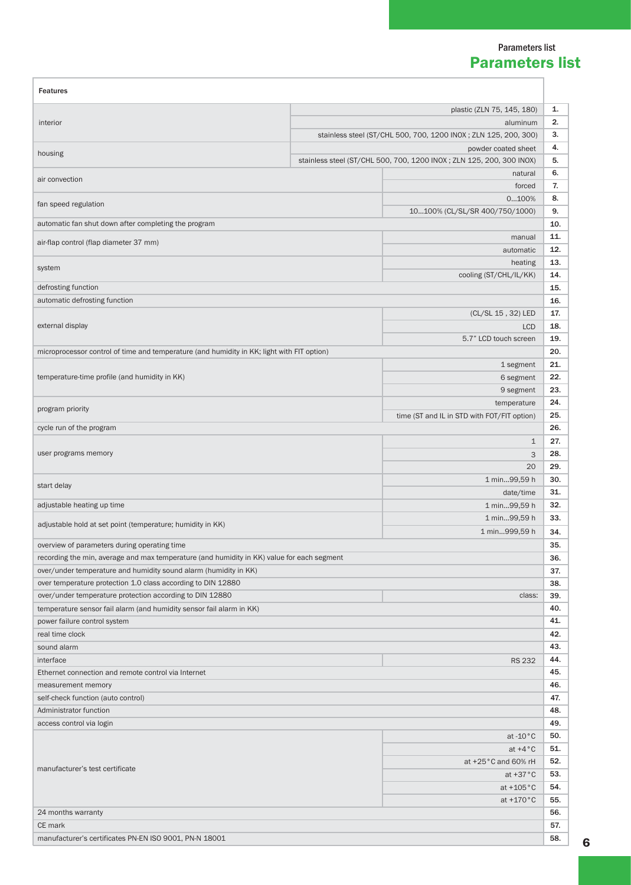#### Parameters list Parameters list

| <b>Features</b>                                                                            |                            |                                                                       |            |  |  |  |  |  |
|--------------------------------------------------------------------------------------------|----------------------------|-----------------------------------------------------------------------|------------|--|--|--|--|--|
|                                                                                            | plastic (ZLN 75, 145, 180) |                                                                       |            |  |  |  |  |  |
| interior                                                                                   | aluminum                   |                                                                       |            |  |  |  |  |  |
|                                                                                            |                            | stainless steel (ST/CHL 500, 700, 1200 INOX; ZLN 125, 200, 300)       | 3.         |  |  |  |  |  |
|                                                                                            |                            | powder coated sheet                                                   | 4.         |  |  |  |  |  |
| housing                                                                                    |                            | stainless steel (ST/CHL 500, 700, 1200 INOX ; ZLN 125, 200, 300 INOX) | 5.         |  |  |  |  |  |
|                                                                                            |                            | natural                                                               | 6.         |  |  |  |  |  |
| air convection                                                                             |                            | forced                                                                | 7.         |  |  |  |  |  |
| fan speed regulation                                                                       |                            | 0100%                                                                 | 8.         |  |  |  |  |  |
|                                                                                            |                            | 10100% (CL/SL/SR 400/750/1000)                                        | 9.         |  |  |  |  |  |
| automatic fan shut down after completing the program                                       |                            |                                                                       | 10.        |  |  |  |  |  |
| air-flap control (flap diameter 37 mm)                                                     |                            | manual                                                                | 11.        |  |  |  |  |  |
|                                                                                            |                            | automatic                                                             | 12.        |  |  |  |  |  |
| system                                                                                     |                            | heating                                                               | 13.        |  |  |  |  |  |
|                                                                                            |                            | cooling (ST/CHL/IL/KK)                                                | 14.        |  |  |  |  |  |
| defrosting function                                                                        |                            |                                                                       | 15.        |  |  |  |  |  |
| automatic defrosting function                                                              |                            |                                                                       | 16.        |  |  |  |  |  |
|                                                                                            |                            | (CL/SL 15, 32) LED                                                    | 17.        |  |  |  |  |  |
| external display                                                                           | <b>LCD</b>                 | 18.                                                                   |            |  |  |  |  |  |
|                                                                                            |                            | 5.7" LCD touch screen                                                 | 19.        |  |  |  |  |  |
| microprocessor control of time and temperature (and humidity in KK; light with FIT option) |                            |                                                                       | 20.        |  |  |  |  |  |
|                                                                                            |                            | 1 segment                                                             | 21.        |  |  |  |  |  |
| temperature-time profile (and humidity in KK)                                              |                            | 6 segment                                                             | 22.        |  |  |  |  |  |
|                                                                                            |                            | 9 segment                                                             | 23.        |  |  |  |  |  |
| program priority                                                                           |                            | temperature                                                           | 24.        |  |  |  |  |  |
|                                                                                            |                            | time (ST and IL in STD with FOT/FIT option)                           | 25.        |  |  |  |  |  |
| cycle run of the program                                                                   |                            |                                                                       | 26.        |  |  |  |  |  |
|                                                                                            | $\mathbf{1}$               | 27.                                                                   |            |  |  |  |  |  |
| user programs memory                                                                       | 3                          | 28.                                                                   |            |  |  |  |  |  |
|                                                                                            |                            | 20                                                                    | 29.        |  |  |  |  |  |
| start delay                                                                                |                            | 1 min99,59 h                                                          | 30.        |  |  |  |  |  |
|                                                                                            |                            | date/time                                                             | 31.        |  |  |  |  |  |
| adjustable heating up time                                                                 |                            | 1 min99,59 h                                                          | 32.        |  |  |  |  |  |
| adjustable hold at set point (temperature; humidity in KK)                                 |                            | 1 min99,59 h                                                          | 33.        |  |  |  |  |  |
|                                                                                            |                            | 1 min999,59 h                                                         | 34.        |  |  |  |  |  |
| overview of parameters during operating time                                               |                            |                                                                       | 35.        |  |  |  |  |  |
| recording the min, average and max temperature (and humidity in KK) value for each segment |                            |                                                                       | 36.        |  |  |  |  |  |
| over/under temperature and humidity sound alarm (humidity in KK)                           |                            |                                                                       | 37.        |  |  |  |  |  |
| over temperature protection 1.0 class according to DIN 12880                               |                            |                                                                       | 38.        |  |  |  |  |  |
| over/under temperature protection according to DIN 12880                                   |                            | class:                                                                | 39.        |  |  |  |  |  |
| temperature sensor fail alarm (and humidity sensor fail alarm in KK)                       |                            |                                                                       | 40.        |  |  |  |  |  |
| power failure control system                                                               |                            |                                                                       | 41.        |  |  |  |  |  |
| real time clock                                                                            |                            |                                                                       | 42.        |  |  |  |  |  |
| sound alarm                                                                                |                            |                                                                       | 43.        |  |  |  |  |  |
| interface                                                                                  |                            | <b>RS 232</b>                                                         | 44.        |  |  |  |  |  |
| Ethernet connection and remote control via Internet                                        |                            |                                                                       | 45.        |  |  |  |  |  |
| measurement memory                                                                         |                            |                                                                       | 46.        |  |  |  |  |  |
| self-check function (auto control)                                                         |                            |                                                                       | 47.        |  |  |  |  |  |
| Administrator function                                                                     |                            |                                                                       | 48.        |  |  |  |  |  |
| access control via login                                                                   |                            |                                                                       | 49.<br>50. |  |  |  |  |  |
|                                                                                            |                            | at $-10\degree$ C                                                     | 51.        |  |  |  |  |  |
|                                                                                            |                            | at $+4^{\circ}$ C<br>at +25°C and 60% rH                              | 52.        |  |  |  |  |  |
| manufacturer's test certificate                                                            |                            |                                                                       | 53.        |  |  |  |  |  |
|                                                                                            |                            | at $+37\degree$ C                                                     | 54.        |  |  |  |  |  |
|                                                                                            |                            | at $+105\degree$ C<br>at $+170^{\circ}$ C                             | 55.        |  |  |  |  |  |
| 24 months warranty                                                                         |                            |                                                                       | 56.        |  |  |  |  |  |
| CE mark                                                                                    |                            |                                                                       | 57.        |  |  |  |  |  |
|                                                                                            |                            |                                                                       | 58.        |  |  |  |  |  |
| manufacturer's certificates PN-EN ISO 9001, PN-N 18001                                     |                            |                                                                       |            |  |  |  |  |  |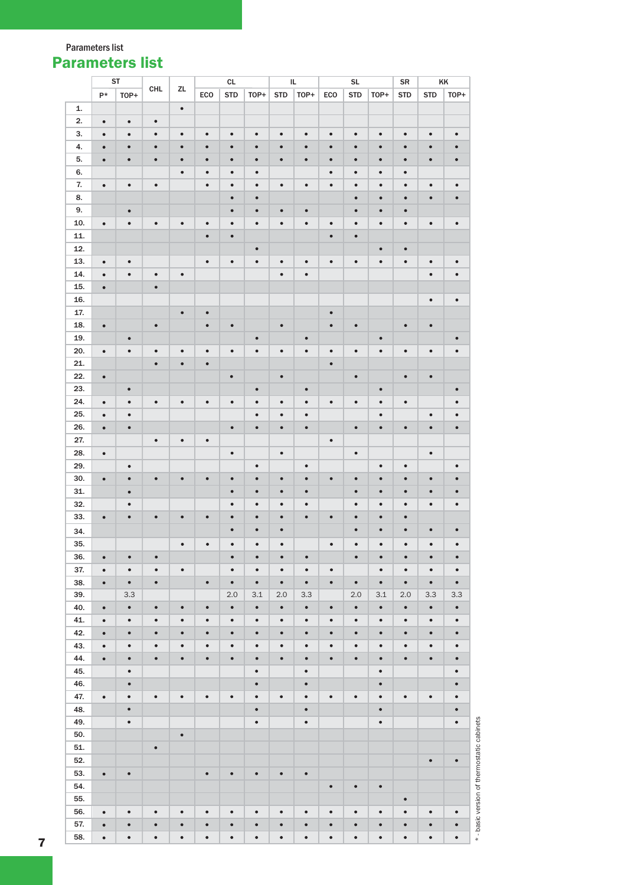Parameters list

# Parameters list

|     |           | ST        |           |           |           | CL         |           | $\sf IL$   |           |           | $\mathsf{SL}% _{2}\left( \mathcal{M}\right)$ |           | SR         | KK         |           |
|-----|-----------|-----------|-----------|-----------|-----------|------------|-----------|------------|-----------|-----------|----------------------------------------------|-----------|------------|------------|-----------|
|     | $P*$      | TOP+      | CHL       | ZL        | ECO       | <b>STD</b> | TOP+      | <b>STD</b> | TOP+      | ECO       | <b>STD</b>                                   | TOP+      | <b>STD</b> | <b>STD</b> | TOP+      |
| 1.  |           |           |           | $\bullet$ |           |            |           |            |           |           |                                              |           |            |            |           |
| 2.  |           |           | $\bullet$ |           |           |            |           |            |           |           |                                              |           |            |            |           |
|     | $\bullet$ | $\bullet$ |           |           |           |            |           |            |           |           |                                              |           |            |            |           |
| 3.  | $\bullet$ | $\bullet$ | $\bullet$ | $\bullet$ | $\bullet$ | $\bullet$  | $\bullet$ | $\bullet$  | $\bullet$ | $\bullet$ | $\bullet$                                    | $\bullet$ | $\bullet$  | $\bullet$  | $\bullet$ |
| 4.  | $\bullet$ | $\bullet$ | $\bullet$ | $\bullet$ | $\bullet$ | $\bullet$  | $\bullet$ | $\bullet$  | $\bullet$ | $\bullet$ | $\bullet$                                    | $\bullet$ | $\bullet$  | $\bullet$  | $\bullet$ |
| 5.  | $\bullet$ | $\bullet$ | $\bullet$ | $\bullet$ | $\bullet$ | $\bullet$  | $\bullet$ | $\bullet$  | $\bullet$ | $\bullet$ | $\bullet$                                    | $\bullet$ | $\bullet$  | $\bullet$  | $\bullet$ |
| 6.  |           |           |           | $\bullet$ | $\bullet$ | $\bullet$  | $\bullet$ |            |           | $\bullet$ | $\bullet$                                    | $\bullet$ | $\bullet$  |            |           |
| 7.  | $\bullet$ | $\bullet$ | $\bullet$ |           | $\bullet$ | $\bullet$  | $\bullet$ | $\bullet$  | $\bullet$ | $\bullet$ | $\bullet$                                    | $\bullet$ | $\bullet$  | $\bullet$  | $\bullet$ |
| 8.  |           |           |           |           |           | $\bullet$  | $\bullet$ |            |           |           | $\bullet$                                    | $\bullet$ | $\bullet$  | $\bullet$  | $\bullet$ |
| 9.  |           | $\bullet$ |           |           |           | $\bullet$  | $\bullet$ | $\bullet$  | $\bullet$ |           | $\bullet$                                    | $\bullet$ | $\bullet$  |            |           |
|     |           |           |           |           |           |            |           |            |           |           |                                              |           |            |            |           |
| 10. | $\bullet$ | $\bullet$ | $\bullet$ | $\bullet$ | $\bullet$ | $\bullet$  | $\bullet$ | $\bullet$  | $\bullet$ | $\bullet$ | $\bullet$                                    | $\bullet$ | $\bullet$  | $\bullet$  | $\bullet$ |
| 11. |           |           |           |           | $\bullet$ | $\bullet$  |           |            |           | $\bullet$ | $\bullet$                                    |           |            |            |           |
| 12. |           |           |           |           |           |            | $\bullet$ |            |           |           |                                              | $\bullet$ | $\bullet$  |            |           |
| 13. | $\bullet$ | $\bullet$ |           |           | $\bullet$ | $\bullet$  | $\bullet$ | $\bullet$  | $\bullet$ | $\bullet$ | $\bullet$                                    | $\bullet$ | $\bullet$  | $\bullet$  | $\bullet$ |
| 14. | $\bullet$ | $\bullet$ | $\bullet$ | $\bullet$ |           |            |           | $\bullet$  | $\bullet$ |           |                                              |           |            | $\bullet$  | $\bullet$ |
| 15. | $\bullet$ |           | $\bullet$ |           |           |            |           |            |           |           |                                              |           |            |            |           |
| 16. |           |           |           |           |           |            |           |            |           |           |                                              |           |            | $\bullet$  | $\bullet$ |
| 17. |           |           |           | $\bullet$ | $\bullet$ |            |           |            |           | $\bullet$ |                                              |           |            |            |           |
| 18. | $\bullet$ |           | $\bullet$ |           | $\bullet$ | $\bullet$  |           | $\bullet$  |           | $\bullet$ | $\bullet$                                    |           | $\bullet$  | $\bullet$  |           |
|     |           |           |           |           |           |            |           |            |           |           |                                              |           |            |            |           |
| 19. |           | $\bullet$ |           |           |           |            | $\bullet$ |            | $\bullet$ |           |                                              | $\bullet$ |            |            | $\bullet$ |
| 20. | $\bullet$ | $\bullet$ | $\bullet$ | $\bullet$ | $\bullet$ | $\bullet$  | $\bullet$ | $\bullet$  | $\bullet$ | $\bullet$ | $\bullet$                                    | $\bullet$ | $\bullet$  | $\bullet$  | $\bullet$ |
| 21. |           |           | $\bullet$ | $\bullet$ | $\bullet$ |            |           |            |           | $\bullet$ |                                              |           |            |            |           |
| 22. | $\bullet$ |           |           |           |           | $\bullet$  |           | $\bullet$  |           |           | $\bullet$                                    |           | $\bullet$  | $\bullet$  |           |
| 23. |           | $\bullet$ |           |           |           |            | $\bullet$ |            | $\bullet$ |           |                                              | $\bullet$ |            |            | $\bullet$ |
| 24. | $\bullet$ | $\bullet$ | $\bullet$ | $\bullet$ | $\bullet$ | $\bullet$  | $\bullet$ | $\bullet$  | $\bullet$ | $\bullet$ | $\bullet$                                    | $\bullet$ | $\bullet$  |            | $\bullet$ |
| 25. | $\bullet$ | $\bullet$ |           |           |           |            | $\bullet$ | $\bullet$  | $\bullet$ |           |                                              | $\bullet$ |            | $\bullet$  | $\bullet$ |
| 26. | $\bullet$ | $\bullet$ |           |           |           | $\bullet$  | $\bullet$ | $\bullet$  | $\bullet$ |           | $\bullet$                                    | $\bullet$ | $\bullet$  | $\bullet$  | $\bullet$ |
| 27. |           |           | $\bullet$ | $\bullet$ | $\bullet$ |            |           |            |           | $\bullet$ |                                              |           |            |            |           |
| 28. | $\bullet$ |           |           |           |           | $\bullet$  |           | $\bullet$  |           |           | $\bullet$                                    |           |            | $\bullet$  |           |
|     |           |           |           |           |           |            |           |            |           |           |                                              |           |            |            |           |
| 29. |           | $\bullet$ |           |           |           |            | $\bullet$ |            | $\bullet$ |           |                                              | $\bullet$ | $\bullet$  |            | $\bullet$ |
| 30. | $\bullet$ | $\bullet$ | $\bullet$ | $\bullet$ | $\bullet$ | $\bullet$  | $\bullet$ | $\bullet$  | $\bullet$ | $\bullet$ | $\bullet$                                    | $\bullet$ | $\bullet$  | $\bullet$  | $\bullet$ |
| 31. |           | $\bullet$ |           |           |           | $\bullet$  | $\bullet$ | $\bullet$  | $\bullet$ |           | $\bullet$                                    | $\bullet$ | $\bullet$  | $\bullet$  | $\bullet$ |
| 32. |           | $\bullet$ |           |           |           | $\bullet$  | $\bullet$ | $\bullet$  | $\bullet$ |           | $\bullet$                                    | $\bullet$ | $\bullet$  | $\bullet$  | $\bullet$ |
| 33. | $\bullet$ | $\bullet$ | $\bullet$ | $\bullet$ | $\bullet$ | $\bullet$  | $\bullet$ | $\bullet$  | $\bullet$ | $\bullet$ | $\bullet$                                    | $\bullet$ | $\bullet$  |            |           |
| 34. |           |           |           |           |           | $\bullet$  | $\bullet$ | $\bullet$  |           |           | $\bullet$                                    | $\bullet$ | $\bullet$  | $\bullet$  | $\bullet$ |
| 35. |           |           |           | $\bullet$ | $\bullet$ | $\bullet$  | $\bullet$ | $\bullet$  |           | $\bullet$ | $\bullet$                                    | $\bullet$ | $\bullet$  | $\bullet$  | $\bullet$ |
| 36. | $\bullet$ | $\bullet$ | $\bullet$ |           |           | $\bullet$  | $\bullet$ | $\bullet$  | $\bullet$ |           | $\bullet$                                    | $\bullet$ | $\bullet$  | $\bullet$  | $\bullet$ |
|     |           |           |           |           |           |            |           |            |           |           |                                              |           |            |            |           |
| 37. | $\bullet$ | $\bullet$ | $\bullet$ | $\bullet$ |           | $\bullet$  | $\bullet$ | $\bullet$  | $\bullet$ | $\bullet$ |                                              | $\bullet$ | $\bullet$  | $\bullet$  | $\bullet$ |
| 38. | $\bullet$ | $\bullet$ | $\bullet$ |           | $\bullet$ | $\bullet$  | $\bullet$ | $\bullet$  | $\bullet$ | $\bullet$ | $\bullet$                                    | $\bullet$ | $\bullet$  | $\bullet$  | $\bullet$ |
| 39. |           | 3.3       |           |           |           | 2.0        | 3.1       | 2.0        | 3.3       |           | 2.0                                          | $3.1\,$   | 2.0        | 3.3        | 3.3       |
| 40. | $\bullet$ | $\bullet$ | $\bullet$ | $\bullet$ | $\bullet$ | $\bullet$  | $\bullet$ | $\bullet$  | $\bullet$ | $\bullet$ | $\bullet$                                    | $\bullet$ | $\bullet$  | $\bullet$  | $\bullet$ |
| 41. | $\bullet$ | $\bullet$ | $\bullet$ | $\bullet$ | $\bullet$ | $\bullet$  | $\bullet$ | $\bullet$  | $\bullet$ | $\bullet$ | $\bullet$                                    | $\bullet$ | $\bullet$  | $\bullet$  | $\bullet$ |
| 42. | $\bullet$ | $\bullet$ | $\bullet$ | $\bullet$ | $\bullet$ | $\bullet$  | $\bullet$ | $\bullet$  | $\bullet$ | $\bullet$ | $\bullet$                                    | $\bullet$ | $\bullet$  | $\bullet$  | $\bullet$ |
| 43. | $\bullet$ | $\bullet$ | $\bullet$ | $\bullet$ | $\bullet$ | $\bullet$  | $\bullet$ | $\bullet$  | $\bullet$ | $\bullet$ | $\bullet$                                    | $\bullet$ | $\bullet$  | $\bullet$  | $\bullet$ |
| 44. | $\bullet$ | $\bullet$ | $\bullet$ | $\bullet$ | $\bullet$ | $\bullet$  | $\bullet$ | $\bullet$  | $\bullet$ | $\bullet$ | $\bullet$                                    | $\bullet$ | $\bullet$  | $\bullet$  | $\bullet$ |
| 45. |           | $\bullet$ |           |           |           |            | $\bullet$ |            | $\bullet$ |           |                                              | $\bullet$ |            |            | $\bullet$ |
| 46. |           | $\bullet$ |           |           |           |            | $\bullet$ |            | $\bullet$ |           |                                              | $\bullet$ |            |            | $\bullet$ |
|     |           |           | $\bullet$ | $\bullet$ | $\bullet$ | $\bullet$  |           |            | $\bullet$ | $\bullet$ |                                              |           | $\bullet$  | $\bullet$  |           |
| 47. | $\bullet$ | $\bullet$ |           |           |           |            | $\bullet$ | $\bullet$  |           |           | $\bullet$                                    | $\bullet$ |            |            | $\bullet$ |
| 48. |           | $\bullet$ |           |           |           |            | $\bullet$ |            | $\bullet$ |           |                                              | $\bullet$ |            |            | $\bullet$ |
| 49. |           | $\bullet$ |           |           |           |            | $\bullet$ |            | $\bullet$ |           |                                              | $\bullet$ |            |            | $\bullet$ |
| 50. |           |           |           | $\bullet$ |           |            |           |            |           |           |                                              |           |            |            |           |
| 51. |           |           | $\bullet$ |           |           |            |           |            |           |           |                                              |           |            |            |           |
| 52. |           |           |           |           |           |            |           |            |           |           |                                              |           |            | $\bullet$  | $\bullet$ |
| 53. | $\bullet$ | $\bullet$ |           |           | $\bullet$ | $\bullet$  | $\bullet$ | $\bullet$  | $\bullet$ |           |                                              |           |            |            |           |
| 54. |           |           |           |           |           |            |           |            |           | $\bullet$ | $\bullet$                                    | $\bullet$ |            |            |           |
| 55. |           |           |           |           |           |            |           |            |           |           |                                              |           | $\bullet$  |            |           |
|     |           |           |           |           |           |            |           |            |           |           |                                              |           |            |            |           |
| 56. | $\bullet$ | $\bullet$ | $\bullet$ | $\bullet$ | $\bullet$ | $\bullet$  | $\bullet$ | $\bullet$  | $\bullet$ | $\bullet$ | $\bullet$                                    | $\bullet$ | $\bullet$  | $\bullet$  | $\bullet$ |
| 57. | $\bullet$ | $\bullet$ | $\bullet$ | $\bullet$ | $\bullet$ | $\bullet$  | $\bullet$ | $\bullet$  | $\bullet$ | $\bullet$ | $\bullet$                                    | $\bullet$ | $\bullet$  | $\bullet$  | $\bullet$ |
| 58. | $\bullet$ | $\bullet$ | $\bullet$ | $\bullet$ | $\bullet$ | $\bullet$  | $\bullet$ | $\bullet$  | $\bullet$ | $\bullet$ | $\bullet$                                    | $\bullet$ | $\bullet$  | $\bullet$  | $\bullet$ |

\*- basic version of thermostatic cabinets \* - basic version of thermostatic cabinets